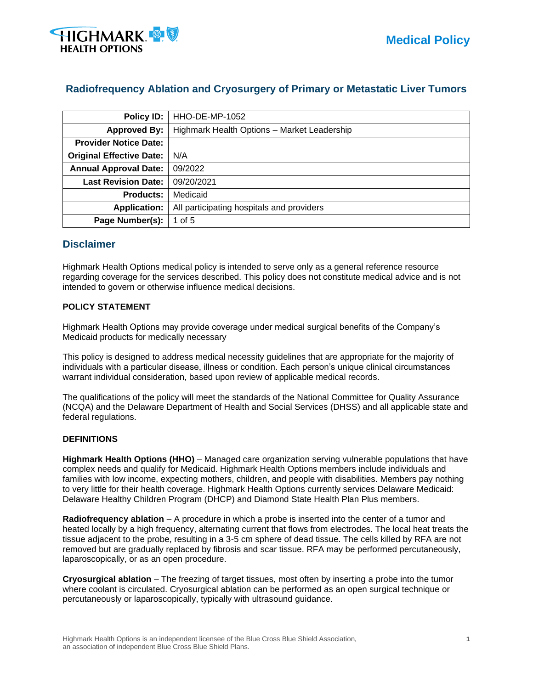

# **Radiofrequency Ablation and Cryosurgery of Primary or Metastatic Liver Tumors**

| <b>Policy ID:</b>               | HHO-DE-MP-1052                              |
|---------------------------------|---------------------------------------------|
| <b>Approved By:</b>             | Highmark Health Options - Market Leadership |
| <b>Provider Notice Date:</b>    |                                             |
| <b>Original Effective Date:</b> | N/A                                         |
| <b>Annual Approval Date:</b>    | 09/2022                                     |
| <b>Last Revision Date:</b>      | 09/20/2021                                  |
| <b>Products:</b>                | Medicaid                                    |
| <b>Application:</b>             | All participating hospitals and providers   |
| Page Number(s):                 | 1 of 5                                      |

## **Disclaimer**

Highmark Health Options medical policy is intended to serve only as a general reference resource regarding coverage for the services described. This policy does not constitute medical advice and is not intended to govern or otherwise influence medical decisions.

### **POLICY STATEMENT**

Highmark Health Options may provide coverage under medical surgical benefits of the Company's Medicaid products for medically necessary

This policy is designed to address medical necessity guidelines that are appropriate for the majority of individuals with a particular disease, illness or condition. Each person's unique clinical circumstances warrant individual consideration, based upon review of applicable medical records.

The qualifications of the policy will meet the standards of the National Committee for Quality Assurance (NCQA) and the Delaware Department of Health and Social Services (DHSS) and all applicable state and federal regulations.

### **DEFINITIONS**

**Highmark Health Options (HHO)** – Managed care organization serving vulnerable populations that have complex needs and qualify for Medicaid. Highmark Health Options members include individuals and families with low income, expecting mothers, children, and people with disabilities. Members pay nothing to very little for their health coverage. Highmark Health Options currently services Delaware Medicaid: Delaware Healthy Children Program (DHCP) and Diamond State Health Plan Plus members.

**Radiofrequency ablation** – A procedure in which a probe is inserted into the center of a tumor and heated locally by a high frequency, alternating current that flows from electrodes. The local heat treats the tissue adjacent to the probe, resulting in a 3-5 cm sphere of dead tissue. The cells killed by RFA are not removed but are gradually replaced by fibrosis and scar tissue. RFA may be performed percutaneously, laparoscopically, or as an open procedure.

**Cryosurgical ablation** – The freezing of target tissues, most often by inserting a probe into the tumor where coolant is circulated. Cryosurgical ablation can be performed as an open surgical technique or percutaneously or laparoscopically, typically with ultrasound guidance.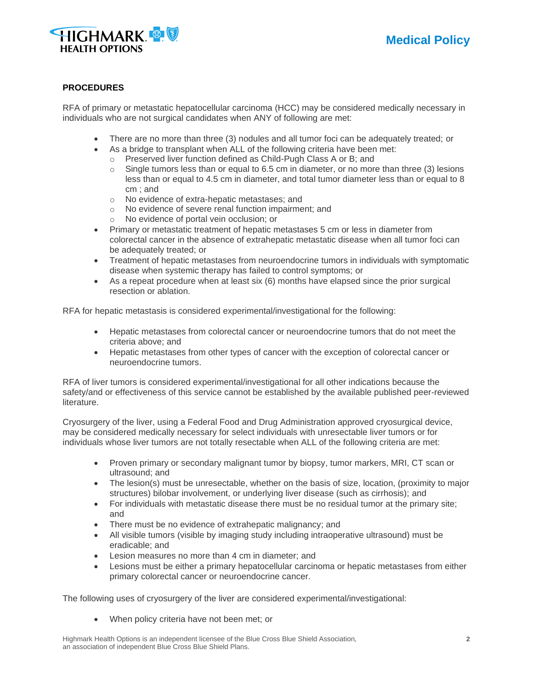

### **PROCEDURES**

RFA of primary or metastatic hepatocellular carcinoma (HCC) may be considered medically necessary in individuals who are not surgical candidates when ANY of following are met:

- There are no more than three (3) nodules and all tumor foci can be adequately treated; or
- As a bridge to transplant when ALL of the following criteria have been met:
	- o Preserved liver function defined as Child-Pugh Class A or B; and
	- $\circ$  Single tumors less than or equal to 6.5 cm in diameter, or no more than three (3) lesions less than or equal to 4.5 cm in diameter, and total tumor diameter less than or equal to 8 cm ; and
	- o No evidence of extra-hepatic metastases; and
	- o No evidence of severe renal function impairment; and
	- o No evidence of portal vein occlusion; or
- Primary or metastatic treatment of hepatic metastases 5 cm or less in diameter from colorectal cancer in the absence of extrahepatic metastatic disease when all tumor foci can be adequately treated; or
- Treatment of hepatic metastases from neuroendocrine tumors in individuals with symptomatic disease when systemic therapy has failed to control symptoms; or
- As a repeat procedure when at least six (6) months have elapsed since the prior surgical resection or ablation.

RFA for hepatic metastasis is considered experimental/investigational for the following:

- Hepatic metastases from colorectal cancer or neuroendocrine tumors that do not meet the criteria above; and
- Hepatic metastases from other types of cancer with the exception of colorectal cancer or neuroendocrine tumors.

RFA of liver tumors is considered experimental/investigational for all other indications because the safety/and or effectiveness of this service cannot be established by the available published peer-reviewed literature.

Cryosurgery of the liver, using a Federal Food and Drug Administration approved cryosurgical device, may be considered medically necessary for select individuals with unresectable liver tumors or for individuals whose liver tumors are not totally resectable when ALL of the following criteria are met:

- Proven primary or secondary malignant tumor by biopsy, tumor markers, MRI, CT scan or ultrasound; and
- The lesion(s) must be unresectable, whether on the basis of size, location, (proximity to major structures) bilobar involvement, or underlying liver disease (such as cirrhosis); and
- For individuals with metastatic disease there must be no residual tumor at the primary site; and
- There must be no evidence of extrahepatic malignancy; and
- All visible tumors (visible by imaging study including intraoperative ultrasound) must be eradicable; and
- Lesion measures no more than 4 cm in diameter; and
- Lesions must be either a primary hepatocellular carcinoma or hepatic metastases from either primary colorectal cancer or neuroendocrine cancer.

The following uses of cryosurgery of the liver are considered experimental/investigational:

• When policy criteria have not been met; or

Highmark Health Options is an independent licensee of the Blue Cross Blue Shield Association, **2** an association of independent Blue Cross Blue Shield Plans.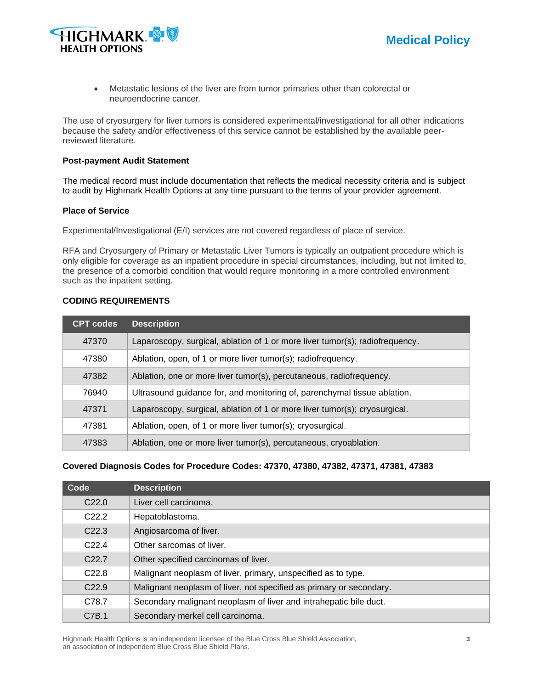

• Metastatic lesions of the liver are from tumor primaries other than colorectal or neuroendocrine cancer.

The use of cryosurgery for liver tumors is considered experimental/investigational for all other indications because the safety and/or effectiveness of this service cannot be established by the available peerreviewed literature.

#### **Post-payment Audit Statement**

The medical record must include documentation that reflects the medical necessity criteria and is subject to audit by Highmark Health Options at any time pursuant to the terms of your provider agreement.

### **Place of Service**

Experimental/Investigational (E/I) services are not covered regardless of place of service.

RFA and Cryosurgery of Primary or Metastatic Liver Tumors is typically an outpatient procedure which is only eligible for coverage as an inpatient procedure in special circumstances, including, but not limited to, the presence of a comorbid condition that would require monitoring in a more controlled environment such as the inpatient setting.

#### **CODING REQUIREMENTS**

| <b>CPT codes</b> | <b>Description</b>                                                           |
|------------------|------------------------------------------------------------------------------|
| 47370            | Laparoscopy, surgical, ablation of 1 or more liver tumor(s); radiofrequency. |
| 47380            | Ablation, open, of 1 or more liver tumor(s); radiofrequency.                 |
| 47382            | Ablation, one or more liver tumor(s), percutaneous, radiofrequency.          |
| 76940            | Ultrasound guidance for, and monitoring of, parenchymal tissue ablation.     |
| 47371            | Laparoscopy, surgical, ablation of 1 or more liver tumor(s); cryosurgical.   |
| 47381            | Ablation, open, of 1 or more liver tumor(s); cryosurgical.                   |
| 47383            | Ablation, one or more liver tumor(s), percutaneous, cryoablation.            |

### **Covered Diagnosis Codes for Procedure Codes: 47370, 47380, 47382, 47371, 47381, 47383**

| Code              | <b>Description</b>                                                  |
|-------------------|---------------------------------------------------------------------|
| C <sub>22.0</sub> | Liver cell carcinoma.                                               |
| C <sub>22.2</sub> | Hepatoblastoma.                                                     |
| C <sub>22.3</sub> | Angiosarcoma of liver.                                              |
| C <sub>22.4</sub> | Other sarcomas of liver.                                            |
| C <sub>22.7</sub> | Other specified carcinomas of liver.                                |
| C <sub>22.8</sub> | Malignant neoplasm of liver, primary, unspecified as to type.       |
| C <sub>22.9</sub> | Malignant neoplasm of liver, not specified as primary or secondary. |
| C78.7             | Secondary malignant neoplasm of liver and intrahepatic bile duct.   |
| C7B.1             | Secondary merkel cell carcinoma.                                    |

Highmark Health Options is an independent licensee of the Blue Cross Blue Shield Association, **3** an association of independent Blue Cross Blue Shield Plans.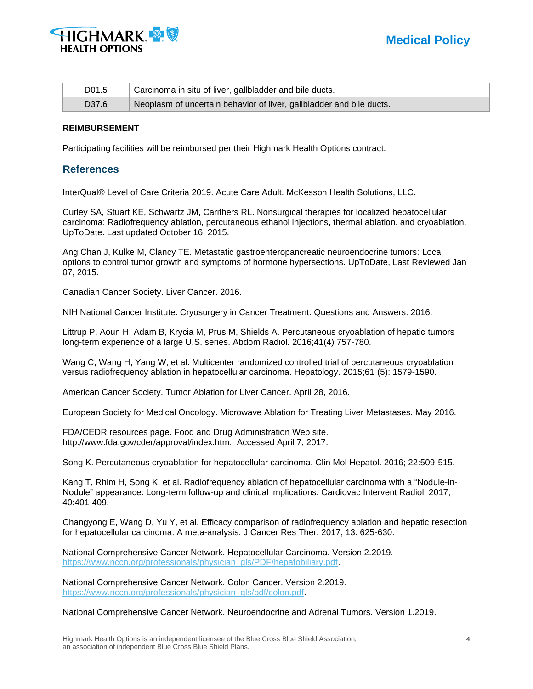

| D <sub>0</sub> 1.5 | Carcinoma in situ of liver, gallbladder and bile ducts.              |
|--------------------|----------------------------------------------------------------------|
| D <sub>37.6</sub>  | Neoplasm of uncertain behavior of liver, gallbladder and bile ducts. |

#### **REIMBURSEMENT**

Participating facilities will be reimbursed per their Highmark Health Options contract.

### **References**

InterQual® Level of Care Criteria 2019. Acute Care Adult. McKesson Health Solutions, LLC.

Curley SA, Stuart KE, Schwartz JM, Carithers RL. Nonsurgical therapies for localized hepatocellular carcinoma: Radiofrequency ablation, percutaneous ethanol injections, thermal ablation, and cryoablation. UpToDate. Last updated October 16, 2015.

Ang Chan J, Kulke M, Clancy TE. Metastatic gastroenteropancreatic neuroendocrine tumors: Local options to control tumor growth and symptoms of hormone hypersections. UpToDate, Last Reviewed Jan 07, 2015.

Canadian Cancer Society. Liver Cancer. 2016.

NIH National Cancer Institute. Cryosurgery in Cancer Treatment: Questions and Answers. 2016.

Littrup P, Aoun H, Adam B, Krycia M, Prus M, Shields A. Percutaneous cryoablation of hepatic tumors long-term experience of a large U.S. series. Abdom Radiol. 2016;41(4) 757-780.

Wang C, Wang H, Yang W, et al. Multicenter randomized controlled trial of percutaneous cryoablation versus radiofrequency ablation in hepatocellular carcinoma. Hepatology. 2015;61 (5): 1579-1590.

American Cancer Society. Tumor Ablation for Liver Cancer. April 28, 2016.

European Society for Medical Oncology. Microwave Ablation for Treating Liver Metastases. May 2016.

FDA/CEDR resources page. Food and Drug Administration Web site. http://www.fda.gov/cder/approval/index.htm. Accessed April 7, 2017.

Song K. Percutaneous cryoablation for hepatocellular carcinoma. Clin Mol Hepatol. 2016; 22:509-515.

Kang T, Rhim H, Song K, et al. Radiofrequency ablation of hepatocellular carcinoma with a "Nodule-in-Nodule" appearance: Long-term follow-up and clinical implications. Cardiovac Intervent Radiol. 2017; 40:401-409.

Changyong E, Wang D, Yu Y, et al. Efficacy comparison of radiofrequency ablation and hepatic resection for hepatocellular carcinoma: A meta-analysis. J Cancer Res Ther. 2017; 13: 625-630.

National Comprehensive Cancer Network. Hepatocellular Carcinoma. Version 2.2019. [https://www.nccn.org/professionals/physician\\_gls/PDF/hepatobiliary.pdf.](https://www.nccn.org/professionals/physician_gls/PDF/hepatobiliary.pdf)

National Comprehensive Cancer Network. Colon Cancer. Version 2.2019. [https://www.nccn.org/professionals/physician\\_gls/pdf/colon.pdf.](https://www.nccn.org/professionals/physician_gls/pdf/colon.pdf)

National Comprehensive Cancer Network. Neuroendocrine and Adrenal Tumors. Version 1.2019.